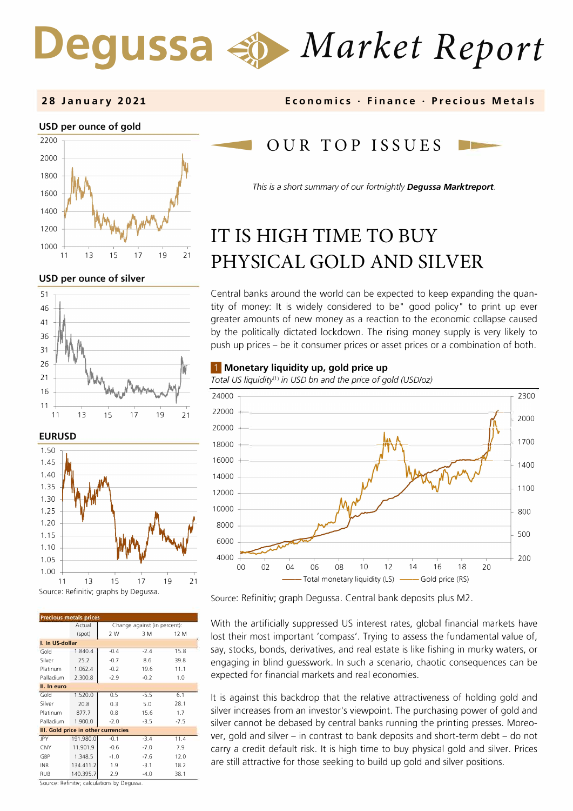# Degussa  $\triangleleft$  *Market Report*

#### **28 January 2021**



**USD per ounce of silver** 





| <b>Precious metals prices</b>       |           |                              |        |        |  |
|-------------------------------------|-----------|------------------------------|--------|--------|--|
|                                     | Actual    | Change against (in percent): |        |        |  |
|                                     | (spot)    | 2 W                          | 3 M    | 12 M   |  |
| I. In US-dollar                     |           |                              |        |        |  |
| Gold                                | 1.840.4   | $-0.4$                       | $-2.4$ | 15.8   |  |
| Silver                              | 25.2      | $-0.7$                       | 8.6    | 39.8   |  |
| Platinum                            | 1.062.4   | $-0.2$                       | 19.6   | 11.1   |  |
| Palladium                           | 2.300.8   | $-2.9$                       | $-0.2$ | 1.0    |  |
| II. In euro                         |           |                              |        |        |  |
| Gold                                | 1.520.0   | 0.5                          | $-5.5$ | 6.1    |  |
| Silver                              | 20.8      | 0.3                          | 5.0    | 28.1   |  |
| Platinum                            | 877.7     | 0.8                          | 15.6   | 1.7    |  |
| Palladium                           | 1.900.0   | $-2.0$                       | $-3.5$ | $-7.5$ |  |
| III. Gold price in other currencies |           |                              |        |        |  |
| JPY                                 | 191.980.0 | $-0.1$                       | $-3.4$ | 11.4   |  |
| <b>CNY</b>                          | 11.901.9  | $-0.6$                       | $-7.0$ | 7.9    |  |
| GBP                                 | 1.348.5   | $-1.0$                       | $-7.6$ | 12.0   |  |
| <b>INR</b>                          | 134.411.2 | 1.9                          | $-3.1$ | 18.2   |  |
| <b>RUB</b>                          | 140.395.7 | 7.9                          | $-4.0$ | 38.1   |  |

**Economics • Finance • Precious Metals** 

# OUR TOP ISSUES

*This is a short summary of our fortnightly Degussa Marktreport.* 

# **IT IS HIGH TIME TO BUY PHYSICAL GOLD AND SIL VER**

Central banks around the world can be expected to keep expanding the quantity of money: lt is widely considered to be" good policy" to print up ever greater amounts of new money as a reaction to the economic collapse caused by the politically dictated lockdown. The rising money supply is very likely to push up prices - be it consumer prices or asset prices or a combination of both.

#### ■ **Monetary liquidity up, gold price up**

Total US liquidity<sup>(1)</sup> in USD bn and the price of gold (USD/oz)



Source: Refinitiv; graph Degussa. Central bank deposits plus M2.

With the artificially suppressed US interest rates, global financial markets have lost their most important 'compass'. Trying to assess the fundamental value of, say, stocks, bonds, derivatives, and real estate is like fishing in murky waters, or engaging in blind guesswork. In such a scenario, chaotic consequences can be expected for financial markets and real economies.

lt is against this backdrop that the relative attractiveness of holding gold and silver increases from an investor's viewpoint. The purchasing power of gold and silver cannot be debased by central banks running the printing presses. Moreover, gold and silver - in contrast to bank deposits and short-term debt - do not carry a credit default risk. lt is high time to buy physical gold and silver. Prices are still attractive for those seeking to build up gold and silver positions.

Source: Refinitiv; calculations by Degussa.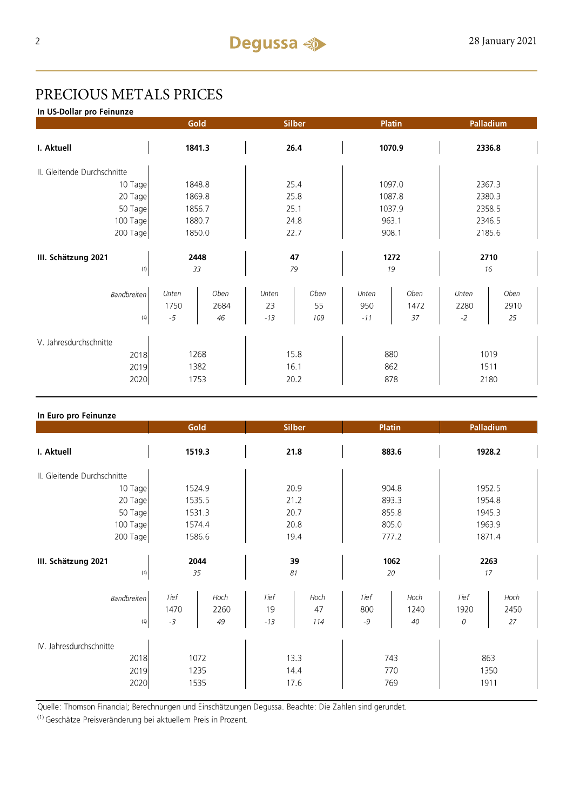## PRECIOUS METALS PRICES

In US-Dollar pro Feinunze

|                                          | Gold       |      | Silber   |      | <b>Platin</b> |      | Palladium  |      |
|------------------------------------------|------------|------|----------|------|---------------|------|------------|------|
| I. Aktuell                               | 1841.3     |      | 26.4     |      | 1070.9        |      | 2336.8     |      |
| II. Gleitende Durchschnitte              |            |      |          |      |               |      |            |      |
| 10 Tage                                  | 1848.8     |      | 25.4     |      | 1097.0        |      | 2367.3     |      |
| 20 Tage                                  | 1869.8     |      | 25.8     |      | 1087.8        |      | 2380.3     |      |
| 50 Tage                                  | 1856.7     |      | 25.1     |      | 1037.9        |      | 2358.5     |      |
| 100 Tage                                 | 1880.7     |      | 24.8     |      | 963.1         |      | 2346.5     |      |
| 200 Tage                                 | 1850.0     |      | 22.7     |      | 908.1         |      | 2185.6     |      |
| III. Schätzung 2021<br>$\left( 1\right)$ | 2448<br>33 |      | 47<br>79 |      | 1272<br>19    |      | 2710<br>16 |      |
| <b>Bandbreiten</b>                       | Unten      | Oben | Unten    | Oben | Unten         | Oben | Unten      | Oben |
|                                          | 1750       | 2684 | 23       | 55   | 950           | 1472 | 2280       | 2910 |
| (1)                                      | $-5\,$     | 46   | $-13$    | 109  | $-11$         | 37   | $-2$       | 25   |
| V. Jahresdurchschnitte                   |            |      |          |      |               |      |            |      |
| 1268<br>2018                             |            | 15.8 |          | 880  |               | 1019 |            |      |
| 2019                                     | 1382       |      | 16.1     |      | 862           |      | 1511       |      |
| 2020                                     | 1753       |      | 20.2     |      | 878           |      | 2180       |      |
|                                          |            |      |          |      |               |      |            |      |

#### In Euro pro Feinunze

|                                 | Gold                 |                    | Silber              |                   | <b>Platin</b>       |                       | Palladium         |                    |
|---------------------------------|----------------------|--------------------|---------------------|-------------------|---------------------|-----------------------|-------------------|--------------------|
| I. Aktuell                      | 1519.3               |                    | 21.8                |                   | 883.6               |                       | 1928.2            |                    |
| II. Gleitende Durchschnitte     |                      |                    |                     |                   |                     |                       |                   |                    |
| 10 Tage                         | 1524.9               |                    | 20.9                |                   | 904.8               |                       | 1952.5            |                    |
| 20 Tage                         | 1535.5               |                    | 21.2                |                   | 893.3               |                       | 1954.8            |                    |
| 50 Tage                         | 1531.3               |                    | 20.7                |                   | 855.8               |                       | 1945.3            |                    |
| 100 Tage                        | 1574.4               |                    | 20.8                |                   | 805.0               |                       | 1963.9            |                    |
| 200 Tage                        | 1586.6               |                    | 19.4                |                   | 777.2               |                       | 1871.4            |                    |
|                                 |                      |                    |                     |                   |                     |                       |                   |                    |
| III. Schätzung 2021             | 2044                 |                    | 39                  |                   | 1062                |                       | 2263              |                    |
| (1)                             | 35                   |                    | 81                  |                   | 20                  |                       | 17                |                    |
| Bandbreiten<br>(1)              | Tief<br>1470<br>$-3$ | Hoch<br>2260<br>49 | Tief<br>19<br>$-13$ | Hoch<br>47<br>114 | Tief<br>800<br>$-9$ | $H$ och<br>1240<br>40 | Tief<br>1920<br>0 | Hoch<br>2450<br>27 |
| IV. Jahresdurchschnitte<br>2018 |                      | 1072               |                     | 13.3              | 743                 |                       |                   | 863                |
| 2019                            | 1235                 |                    | 14.4                |                   | 770                 |                       | 1350              |                    |
| 2020                            | 1535                 |                    | 17.6                |                   | 769                 |                       | 1911              |                    |

Quelle: Thomson Financial; Berechnungen und Einschätzungen Degussa. Beachte: Die Zahlen sind gerundet.

<sup>(1)</sup> Geschätze Preisveränderung bei aktuellem Preis in Prozent.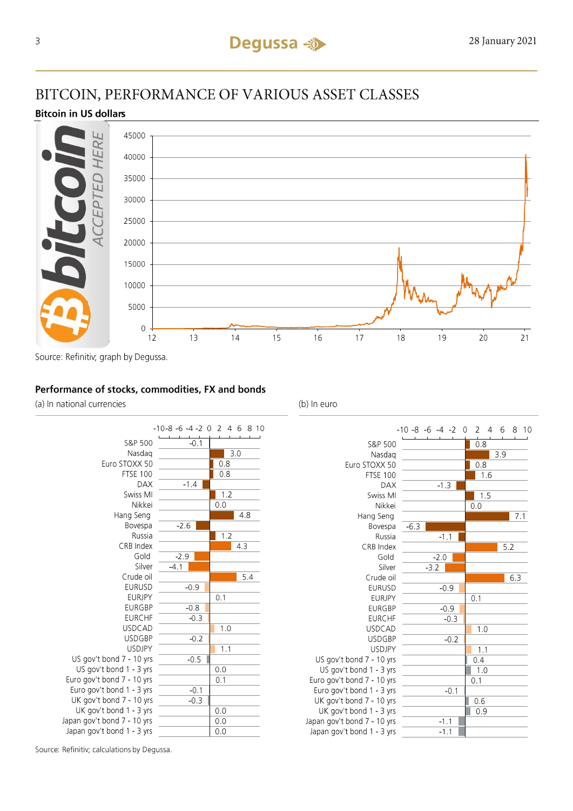## BITCOIN, PERFORMANCE OF VARIOUS ASSET CLASSES

### **Bitcoin in US dollars**



Source: Refinitiv; graph by Degussa.

## Performance of stocks, commodities, FX and bonds

(a) In national currencies



(b) In euro



Source: Refinitiv; calculations by Degussa.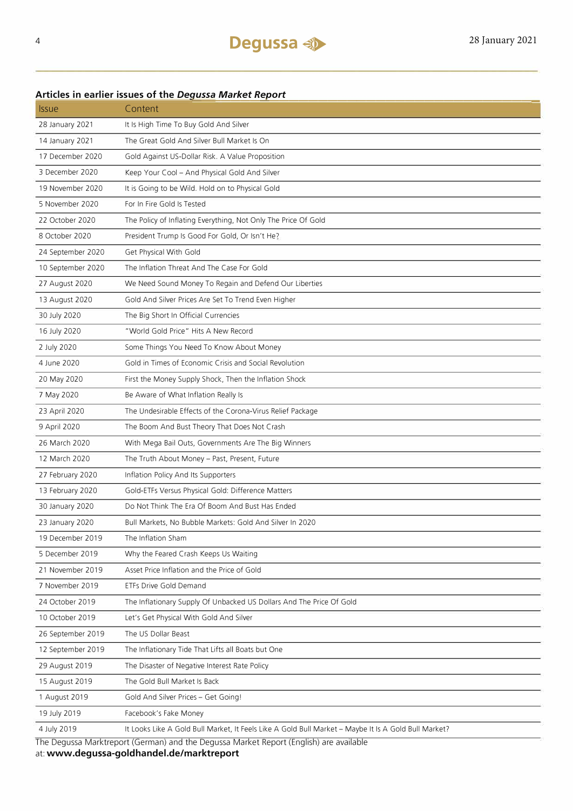## Articles in earlier issues of the Degussa Market Report

| <i><b>Issue</b></i>                                                                    | Content                                                                                              |  |  |  |
|----------------------------------------------------------------------------------------|------------------------------------------------------------------------------------------------------|--|--|--|
| 28 January 2021                                                                        | It Is High Time To Buy Gold And Silver                                                               |  |  |  |
| 14 January 2021                                                                        | The Great Gold And Silver Bull Market Is On                                                          |  |  |  |
| 17 December 2020                                                                       | Gold Against US-Dollar Risk. A Value Proposition                                                     |  |  |  |
| 3 December 2020                                                                        | Keep Your Cool - And Physical Gold And Silver                                                        |  |  |  |
| 19 November 2020                                                                       | It is Going to be Wild. Hold on to Physical Gold                                                     |  |  |  |
| 5 November 2020                                                                        | For In Fire Gold Is Tested                                                                           |  |  |  |
| 22 October 2020                                                                        | The Policy of Inflating Everything, Not Only The Price Of Gold                                       |  |  |  |
| 8 October 2020                                                                         | President Trump Is Good For Gold, Or Isn't He?                                                       |  |  |  |
| 24 September 2020                                                                      | Get Physical With Gold                                                                               |  |  |  |
| 10 September 2020                                                                      | The Inflation Threat And The Case For Gold                                                           |  |  |  |
| 27 August 2020                                                                         | We Need Sound Money To Regain and Defend Our Liberties                                               |  |  |  |
| 13 August 2020                                                                         | Gold And Silver Prices Are Set To Trend Even Higher                                                  |  |  |  |
| 30 July 2020                                                                           | The Big Short In Official Currencies                                                                 |  |  |  |
| 16 July 2020                                                                           | "World Gold Price" Hits A New Record                                                                 |  |  |  |
| 2 July 2020                                                                            | Some Things You Need To Know About Money                                                             |  |  |  |
| 4 June 2020                                                                            | Gold in Times of Economic Crisis and Social Revolution                                               |  |  |  |
| 20 May 2020                                                                            | First the Money Supply Shock, Then the Inflation Shock                                               |  |  |  |
| 7 May 2020                                                                             | Be Aware of What Inflation Really Is                                                                 |  |  |  |
| 23 April 2020                                                                          | The Undesirable Effects of the Corona-Virus Relief Package                                           |  |  |  |
| 9 April 2020                                                                           | The Boom And Bust Theory That Does Not Crash                                                         |  |  |  |
| 26 March 2020                                                                          | With Mega Bail Outs, Governments Are The Big Winners                                                 |  |  |  |
| 12 March 2020                                                                          | The Truth About Money - Past, Present, Future                                                        |  |  |  |
| 27 February 2020                                                                       | Inflation Policy And Its Supporters                                                                  |  |  |  |
| 13 February 2020                                                                       | Gold-ETFs Versus Physical Gold: Difference Matters                                                   |  |  |  |
| 30 January 2020                                                                        | Do Not Think The Era Of Boom And Bust Has Ended                                                      |  |  |  |
| 23 January 2020                                                                        | Bull Markets, No Bubble Markets: Gold And Silver In 2020                                             |  |  |  |
| 19 December 2019                                                                       | The Inflation Sham                                                                                   |  |  |  |
| 5 December 2019                                                                        | Why the Feared Crash Keeps Us Waiting                                                                |  |  |  |
| 21 November 2019                                                                       | Asset Price Inflation and the Price of Gold                                                          |  |  |  |
| 7 November 2019                                                                        | ETFs Drive Gold Demand                                                                               |  |  |  |
| 24 October 2019                                                                        | The Inflationary Supply Of Unbacked US Dollars And The Price Of Gold                                 |  |  |  |
| 10 October 2019                                                                        | Let's Get Physical With Gold And Silver                                                              |  |  |  |
| 26 September 2019                                                                      | The US Dollar Beast                                                                                  |  |  |  |
| 12 September 2019                                                                      | The Inflationary Tide That Lifts all Boats but One                                                   |  |  |  |
| 29 August 2019                                                                         | The Disaster of Negative Interest Rate Policy                                                        |  |  |  |
| 15 August 2019                                                                         | The Gold Bull Market Is Back                                                                         |  |  |  |
| 1 August 2019                                                                          | Gold And Silver Prices - Get Going!                                                                  |  |  |  |
| 19 July 2019                                                                           | Facebook's Fake Money                                                                                |  |  |  |
| 4 July 2019                                                                            | It Looks Like A Gold Bull Market, It Feels Like A Gold Bull Market - Maybe It Is A Gold Bull Market? |  |  |  |
| The Degussa Marktreport (German) and the Degussa Market Report (English) are available |                                                                                                      |  |  |  |

at: www.degussa-goldhandel.de/marktreport